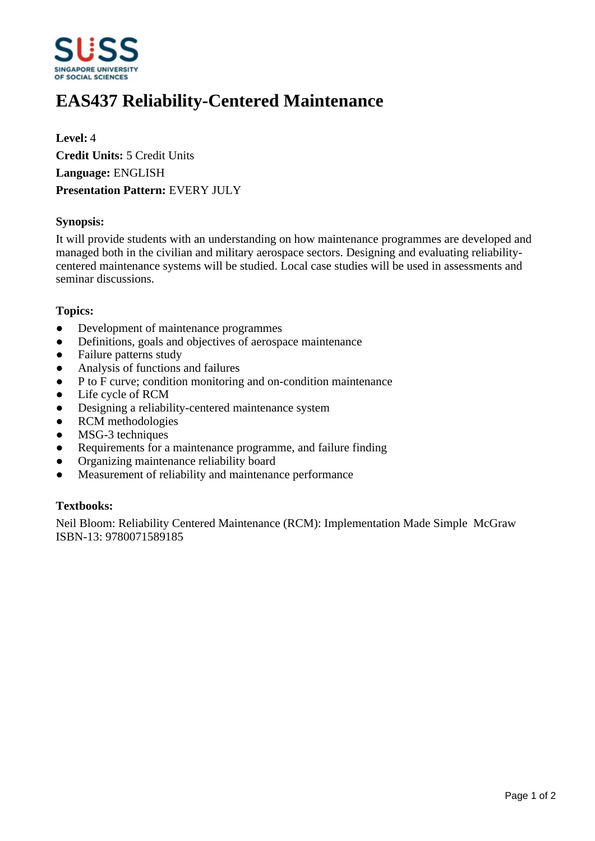

# **EAS437 Reliability-Centered Maintenance**

**Level:** 4 **Credit Units:** 5 Credit Units **Language:** ENGLISH **Presentation Pattern:** EVERY JULY

#### **Synopsis:**

It will provide students with an understanding on how maintenance programmes are developed and managed both in the civilian and military aerospace sectors. Designing and evaluating reliabilitycentered maintenance systems will be studied. Local case studies will be used in assessments and seminar discussions.

#### **Topics:**

- Development of maintenance programmes
- Definitions, goals and objectives of aerospace maintenance
- Failure patterns study
- Analysis of functions and failures
- P to F curve; condition monitoring and on-condition maintenance
- Life cycle of RCM
- ƔDesigning a reliability-centered maintenance system
- RCM methodologies
- MSG-3 techniques
- Requirements for a maintenance programme, and failure finding
- ƔOrganizing maintenance reliability board
- Measurement of reliability and maintenance performance

### **Textbooks:**

Neil Bloom: Reliability Centered Maintenance (RCM): Implementation Made Simple McGraw ISBN-13: 9780071589185